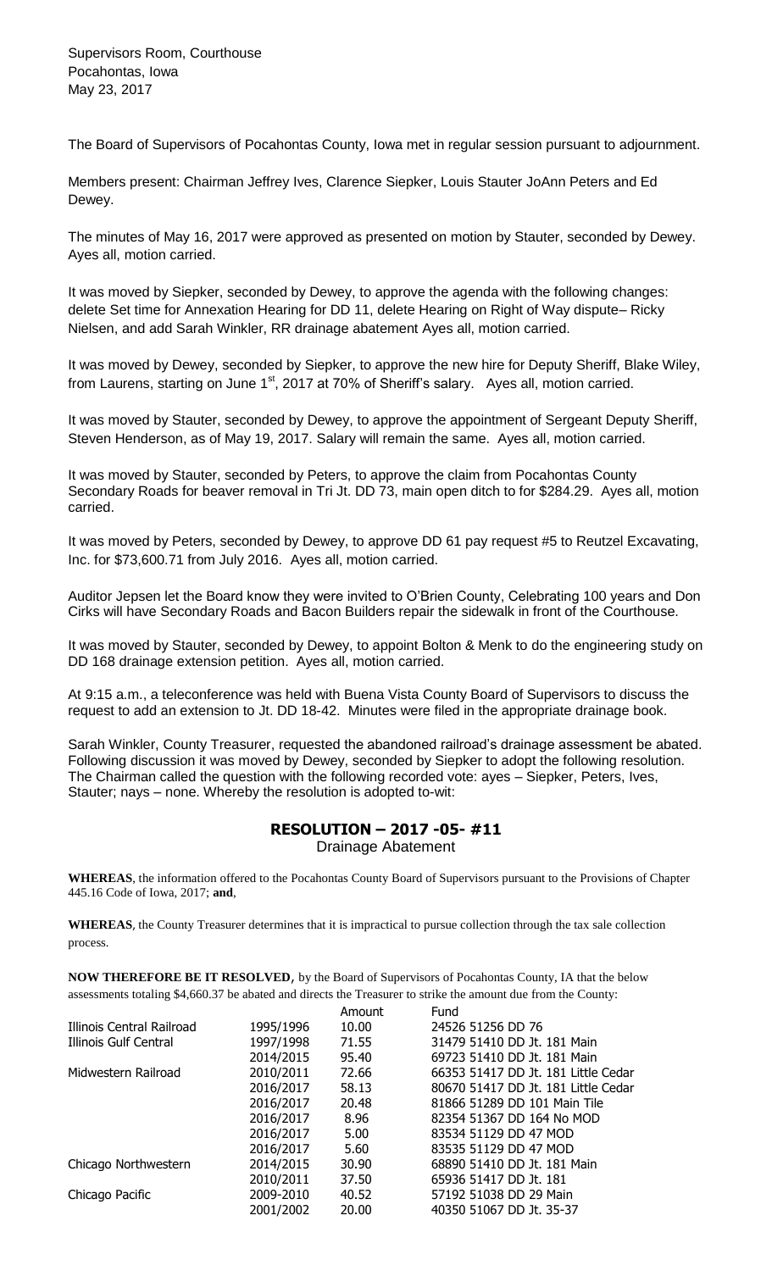The Board of Supervisors of Pocahontas County, Iowa met in regular session pursuant to adjournment.

Members present: Chairman Jeffrey Ives, Clarence Siepker, Louis Stauter JoAnn Peters and Ed Dewey.

The minutes of May 16, 2017 were approved as presented on motion by Stauter, seconded by Dewey. Ayes all, motion carried.

It was moved by Siepker, seconded by Dewey, to approve the agenda with the following changes: delete Set time for Annexation Hearing for DD 11, delete Hearing on Right of Way dispute– Ricky Nielsen, and add Sarah Winkler, RR drainage abatement Ayes all, motion carried.

It was moved by Dewey, seconded by Siepker, to approve the new hire for Deputy Sheriff, Blake Wiley, from Laurens, starting on June 1<sup>st</sup>, 2017 at 70% of Sheriff's salary. Ayes all, motion carried.

It was moved by Stauter, seconded by Dewey, to approve the appointment of Sergeant Deputy Sheriff, Steven Henderson, as of May 19, 2017. Salary will remain the same. Ayes all, motion carried.

It was moved by Stauter, seconded by Peters, to approve the claim from Pocahontas County Secondary Roads for beaver removal in Tri Jt. DD 73, main open ditch to for \$284.29. Ayes all, motion carried.

It was moved by Peters, seconded by Dewey, to approve DD 61 pay request #5 to Reutzel Excavating, Inc. for \$73,600.71 from July 2016. Ayes all, motion carried.

Auditor Jepsen let the Board know they were invited to O'Brien County, Celebrating 100 years and Don Cirks will have Secondary Roads and Bacon Builders repair the sidewalk in front of the Courthouse.

It was moved by Stauter, seconded by Dewey, to appoint Bolton & Menk to do the engineering study on DD 168 drainage extension petition. Ayes all, motion carried.

At 9:15 a.m., a teleconference was held with Buena Vista County Board of Supervisors to discuss the request to add an extension to Jt. DD 18-42. Minutes were filed in the appropriate drainage book.

Sarah Winkler, County Treasurer, requested the abandoned railroad's drainage assessment be abated. Following discussion it was moved by Dewey, seconded by Siepker to adopt the following resolution. The Chairman called the question with the following recorded vote: ayes – Siepker, Peters, Ives, Stauter; nays – none. Whereby the resolution is adopted to-wit:

## **RESOLUTION – 2017 -05- #11** Drainage Abatement

**WHEREAS**, the information offered to the Pocahontas County Board of Supervisors pursuant to the Provisions of Chapter 445.16 Code of Iowa, 2017; **and**,

**WHEREAS**, the County Treasurer determines that it is impractical to pursue collection through the tax sale collection process.

**NOW THEREFORE BE IT RESOLVED**, by the Board of Supervisors of Pocahontas County, IA that the below assessments totaling \$4,660.37 be abated and directs the Treasurer to strike the amount due from the County:

|                           |           | Amount | Fund                                |
|---------------------------|-----------|--------|-------------------------------------|
| Illinois Central Railroad | 1995/1996 | 10.00  | 24526 51256 DD 76                   |
| Illinois Gulf Central     | 1997/1998 | 71.55  | 31479 51410 DD Jt. 181 Main         |
|                           | 2014/2015 | 95.40  | 69723 51410 DD Jt. 181 Main         |
| Midwestern Railroad       | 2010/2011 | 72.66  | 66353 51417 DD Jt. 181 Little Cedar |
|                           | 2016/2017 | 58.13  | 80670 51417 DD Jt. 181 Little Cedar |
|                           | 2016/2017 | 20.48  | 81866 51289 DD 101 Main Tile        |
|                           | 2016/2017 | 8.96   | 82354 51367 DD 164 No MOD           |
|                           | 2016/2017 | 5.00   | 83534 51129 DD 47 MOD               |
|                           | 2016/2017 | 5.60   | 83535 51129 DD 47 MOD               |
| Chicago Northwestern      | 2014/2015 | 30.90  | 68890 51410 DD Jt. 181 Main         |
|                           | 2010/2011 | 37.50  | 65936 51417 DD Jt. 181              |
| Chicago Pacific           | 2009-2010 | 40.52  | 57192 51038 DD 29 Main              |
|                           | 2001/2002 | 20.00  | 40350 51067 DD Jt. 35-37            |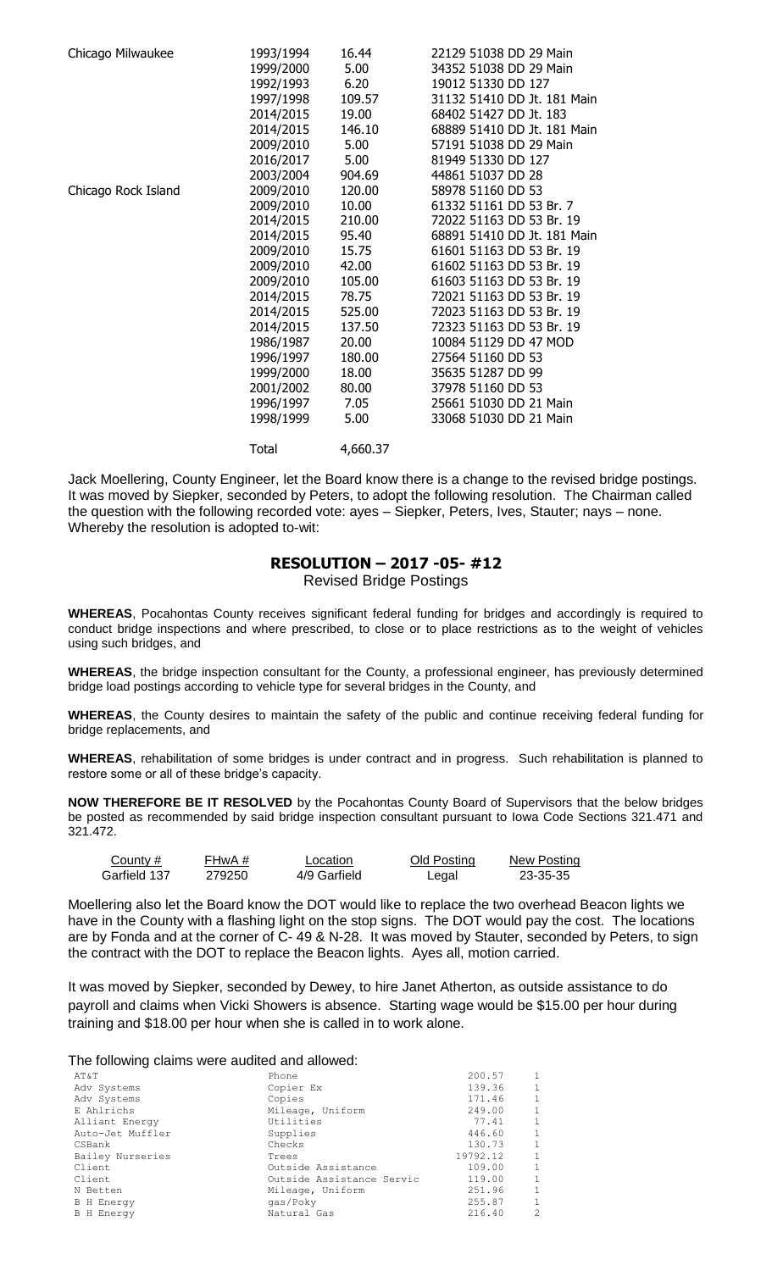| Chicago Milwaukee   | 1993/1994 | 16.44    | 22129 51038 DD 29 Main      |
|---------------------|-----------|----------|-----------------------------|
|                     | 1999/2000 | 5.00     | 34352 51038 DD 29 Main      |
|                     | 1992/1993 | 6.20     | 19012 51330 DD 127          |
|                     | 1997/1998 | 109.57   | 31132 51410 DD Jt. 181 Main |
|                     | 2014/2015 | 19.00    | 68402 51427 DD Jt. 183      |
|                     | 2014/2015 | 146.10   | 68889 51410 DD Jt. 181 Main |
|                     | 2009/2010 | 5.00     | 57191 51038 DD 29 Main      |
|                     | 2016/2017 | 5.00     | 81949 51330 DD 127          |
|                     | 2003/2004 | 904.69   | 44861 51037 DD 28           |
| Chicago Rock Island | 2009/2010 | 120.00   | 58978 51160 DD 53           |
|                     | 2009/2010 | 10.00    | 61332 51161 DD 53 Br. 7     |
|                     | 2014/2015 | 210.00   | 72022 51163 DD 53 Br. 19    |
|                     | 2014/2015 | 95.40    | 68891 51410 DD Jt. 181 Main |
|                     | 2009/2010 | 15.75    | 61601 51163 DD 53 Br. 19    |
|                     | 2009/2010 | 42.00    | 61602 51163 DD 53 Br. 19    |
|                     | 2009/2010 | 105.00   | 61603 51163 DD 53 Br. 19    |
|                     | 2014/2015 | 78.75    | 72021 51163 DD 53 Br. 19    |
|                     | 2014/2015 | 525.00   | 72023 51163 DD 53 Br. 19    |
|                     | 2014/2015 | 137.50   | 72323 51163 DD 53 Br. 19    |
|                     | 1986/1987 | 20.00    | 10084 51129 DD 47 MOD       |
|                     | 1996/1997 | 180.00   | 27564 51160 DD 53           |
|                     | 1999/2000 | 18.00    | 35635 51287 DD 99           |
|                     | 2001/2002 | 80.00    | 37978 51160 DD 53           |
|                     | 1996/1997 | 7.05     | 25661 51030 DD 21 Main      |
|                     | 1998/1999 | 5.00     | 33068 51030 DD 21 Main      |
|                     | Total     | 4,660.37 |                             |

Jack Moellering, County Engineer, let the Board know there is a change to the revised bridge postings. It was moved by Siepker, seconded by Peters, to adopt the following resolution. The Chairman called the question with the following recorded vote: ayes – Siepker, Peters, Ives, Stauter; nays – none. Whereby the resolution is adopted to-wit:

## **RESOLUTION – 2017 -05- #12**

Revised Bridge Postings

**WHEREAS**, Pocahontas County receives significant federal funding for bridges and accordingly is required to conduct bridge inspections and where prescribed, to close or to place restrictions as to the weight of vehicles using such bridges, and

**WHEREAS**, the bridge inspection consultant for the County, a professional engineer, has previously determined bridge load postings according to vehicle type for several bridges in the County, and

**WHEREAS**, the County desires to maintain the safety of the public and continue receiving federal funding for bridge replacements, and

**WHEREAS**, rehabilitation of some bridges is under contract and in progress. Such rehabilitation is planned to restore some or all of these bridge's capacity.

**NOW THEREFORE BE IT RESOLVED** by the Pocahontas County Board of Supervisors that the below bridges be posted as recommended by said bridge inspection consultant pursuant to Iowa Code Sections 321.471 and 321.472.

| County #     | FHwA # | Location     | Old Posting | New Posting |
|--------------|--------|--------------|-------------|-------------|
| Garfield 137 | 279250 | 4/9 Garfield | Legal       | 23-35-35    |

Moellering also let the Board know the DOT would like to replace the two overhead Beacon lights we have in the County with a flashing light on the stop signs. The DOT would pay the cost. The locations are by Fonda and at the corner of C- 49 & N-28. It was moved by Stauter, seconded by Peters, to sign the contract with the DOT to replace the Beacon lights. Ayes all, motion carried.

It was moved by Siepker, seconded by Dewey, to hire Janet Atherton, as outside assistance to do payroll and claims when Vicki Showers is absence. Starting wage would be \$15.00 per hour during training and \$18.00 per hour when she is called in to work alone.

## The following claims were audited and allowed:

| AT&T              | Phone                     | 200.57   | 1              |
|-------------------|---------------------------|----------|----------------|
| Adv Systems       | Copier Ex                 | 139.36   | 1              |
| Adv Systems       | Copies                    | 171.46   | 1              |
| E Ahlrichs        | Mileage, Uniform          | 249.00   | $\mathbf{1}$   |
| Alliant Energy    | Utilities                 | 77.41    | $\mathbf{1}$   |
| Auto-Jet Muffler  | Supplies                  | 446.60   | $\mathbf{1}$   |
| CSBank            | Checks                    | 130.73   | $\mathbf{1}$   |
| Bailey Nurseries  | Trees                     | 19792.12 | $\mathbf{1}$   |
| Client            | Outside Assistance        | 109.00   | $\mathbf{1}$   |
| Client            | Outside Assistance Servic | 119.00   | $\mathbf{1}$   |
| N Betten          | Mileage, Uniform          | 251.96   | 1              |
| <b>B</b> H Energy | qas/Poky                  | 255.87   | 1              |
| <b>B</b> H Energy | Natural Gas               | 216.40   | $\mathfrak{D}$ |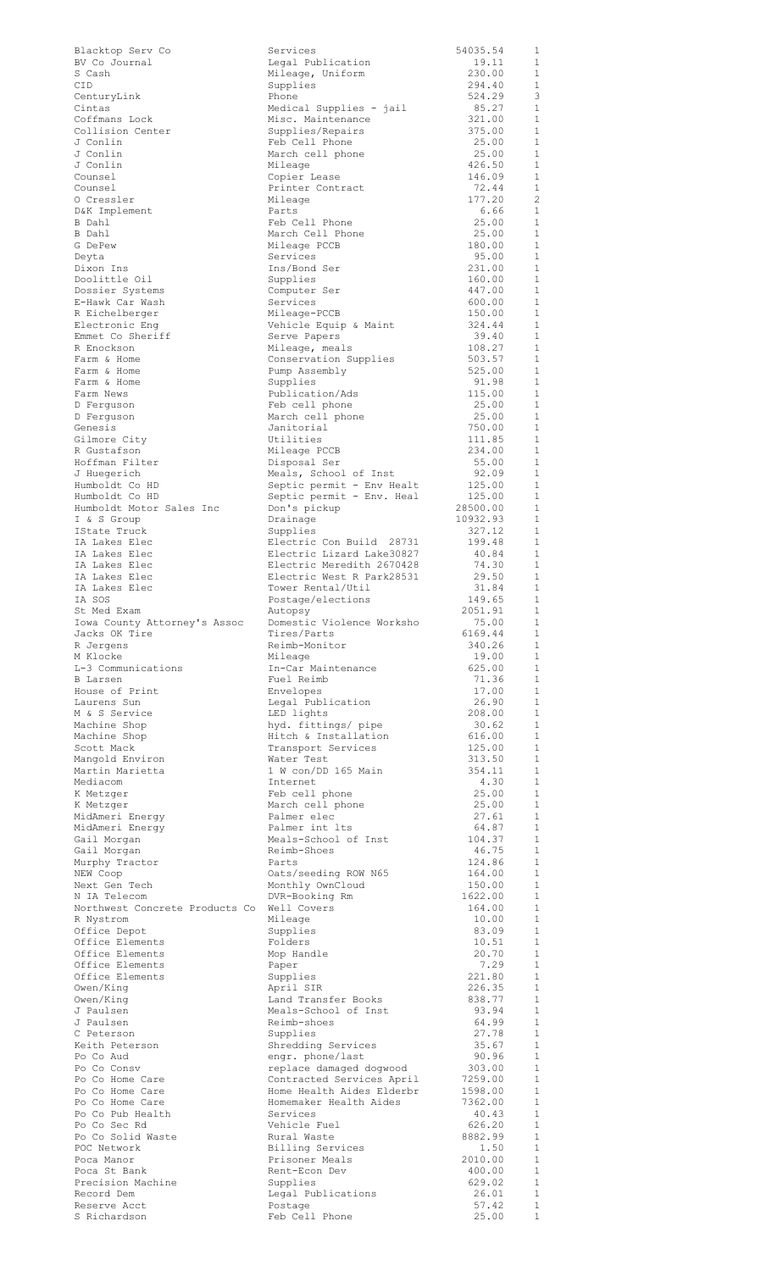| Blacktop Serv Co               |
|--------------------------------|
| BV Co Journal                  |
| S Cash                         |
| CID                            |
|                                |
| CenturyLink                    |
| Cintas                         |
| Coffmans Lock                  |
| Collision Center               |
| J Conlin                       |
| J Conlin                       |
| J Conlin                       |
| Counsel                        |
| Counsel                        |
|                                |
| O Cressler                     |
| D&K Implement                  |
| B Dahl                         |
| B Dahl                         |
| G DePew                        |
| Deyta                          |
| Dixon Ins                      |
|                                |
| Doolittle Oil                  |
| Dossier Systems                |
| E-Hawk Car Wash                |
| R Eichelberger                 |
| Electronic Eng                 |
| Emmet Co Sheriff               |
| R Enockson                     |
| Farm & Home                    |
| Farm & Home                    |
|                                |
| Farm & Home                    |
| Farm News                      |
| D Ferguson                     |
| D Ferguson                     |
| Genesis                        |
| Gilmore City                   |
| R Gustafson                    |
| Hoffman Filter                 |
| J Huegerich                    |
|                                |
| Humboldt Co HD                 |
| Humboldt Co HD                 |
| Humboldt Motor Sales Inc       |
| I & S Group                    |
| IState Truck                   |
| IA Lakes Elec                  |
|                                |
| IA Lakes Elec<br>IA Lakes Elec |
|                                |
| IA Lakes Elec<br>IA Lakes Elec |
| IA SOS                         |
| St Med Exam                    |
|                                |
|                                |
| Iowa County Attorney's Assoc   |
| Jacks OK Tire                  |
| R Jergens                      |
| M Klocke                       |
| L-3 Communications             |
| <b>B</b> Larsen                |
| House of Print                 |
| Laurens Sun                    |
| M & S Service                  |
| Machine Shop                   |
| Machine Shop                   |
| Scott Mack                     |
| Mangold Environ                |
|                                |
| Martin Marietta                |
| Mediacom                       |
| K Metzger                      |
| K Metzger                      |
| MidAmeri Energy                |
| MidAmeri Energy                |
| Gail Morgan                    |
| Gail Morgan                    |
| Murphy Tractor                 |
| NEW Coop                       |
| Next Gen Tech                  |
| N IA Telecom                   |
| Northwest Concrete Products C  |
| R Nystrom                      |
| Office Depot                   |
| Office Elements                |
| Office Elements                |
|                                |
| Office Elements                |
| Office Elements                |
| Owen/King                      |
| Owen/King                      |
| J Paulsen                      |
| J Paulsen                      |
| C Peterson                     |
| Keith Peterson                 |
| Po Co Aud                      |
| Po Co Consv                    |
| Po Co Home Care                |
| Po Co Home Care                |
| Po Co Home Care                |
| Po Co Pub Health               |
| Po Co Sec Rd                   |
| Po Co Solid Waste              |
| POC Network                    |
|                                |
| Poca Manor<br>Poca St Bank     |
|                                |
| Precision Machine              |
| Record Dem<br>Reserve Acct     |

| Blacktop Serv Co               | Services                  | 54035.54        | $\mathbf{1}$   |
|--------------------------------|---------------------------|-----------------|----------------|
| BV Co Journal                  | Legal Publication         | 19.11           | $\overline{1}$ |
| S Cash                         | Mileage, Uniform          | 230.00          | <sup>1</sup>   |
| CID                            | Supplies                  | 294.40          | 1              |
|                                | Phone                     | 524.29          | 3              |
| CenturyLink                    |                           |                 |                |
| Cintas                         | Medical Supplies - jail   | 85.27           | 1              |
| Coffmans Lock                  | Misc. Maintenance         | 321.00          | 1              |
| Collision Center               | Supplies/Repairs          | 375.00          | 1              |
| J Conlin                       | Feb Cell Phone            | 25.00           | $\mathbf{1}$   |
| J Conlin                       | March cell phone          | 25.00           | 1              |
| J Conlin                       | Mileage                   | 426.50          | $\mathbf{1}$   |
| Counsel                        | Copier Lease              | 146.09          | 1              |
| Counsel                        | Printer Contract          | 72.44           | $\mathbf{1}$   |
| 0 Cressler                     | Mileage                   | 177.20          | $\overline{c}$ |
| D&K Implement                  | Parts                     | 6.66            | <sup>1</sup>   |
|                                |                           | 25.00           | 1              |
| B Dahl                         | Feb Cell Phone            |                 |                |
| B Dahl                         | March Cell Phone          | 25.00           | 1              |
| G DePew                        | Mileage PCCB              | 180.00          | 1              |
| Deyta                          | Services                  | 95.00           | 1              |
| Dixon Ins                      | Ins/Bond Ser              | 231.00          | 1              |
| Doolittle Oil                  | Supplies                  | 160.00          | 1              |
| Dossier Systems                | Computer Ser              | 447.00          | 1              |
| E-Hawk Car Wash                | Services                  | 600.00          | 1              |
| R Eichelberger                 | Mileage-PCCB              | 150.00          | 1              |
| Electronic Eng                 | Vehicle Equip & Maint     | 324.44          | -1             |
|                                |                           |                 | $\mathbf{1}$   |
| Emmet Co Sheriff               | Serve Papers              | 39.40           |                |
| R Enockson                     | Mileage, meals            | 108.27          | 1              |
| Farm & Home                    | Conservation Supplies     | 503.57          | 1              |
| Farm & Home                    | Pump Assembly             | 525.00          | $\mathbf{1}$   |
| Farm & Home                    | Supplies                  | 91.98           | 1              |
| Farm News                      | Publication/Ads           | 115.00          | $\mathbf{1}$   |
| D Ferguson                     | Feb cell phone            | 25.00           | 1              |
| D Ferquson                     | March cell phone          | 25.00           | $\mathbf{1}$   |
| Genesis                        | Janitorial                | 750.00          | 1              |
| Gilmore City                   | Utilities                 | 111.85          | $\mathbf{1}$   |
| R Gustafson                    |                           | 234.00          | 1              |
|                                | Mileage PCCB              |                 |                |
| Hoffman Filter                 | Disposal Ser              | 55.00           | $\mathbf{1}$   |
| J Huegerich                    | Meals, School of Inst     | 92.09           | $\mathbf{1}$   |
| Humboldt Co HD                 | Septic permit - Env Healt | 125.00          | $\mathbf{1}$   |
| Humboldt Co HD                 | Septic permit - Env. Heal | 125.00          | 1              |
| Humboldt Motor Sales Inc       | Don's pickup              | 28500.00        | 1              |
| I & S Group                    | Drainage                  | 10932.93        | 1              |
| IState Truck                   | Supplies                  | 327.12          | 1              |
| IA Lakes Elec                  | Electric Con Build 28731  | 199.48          | 1              |
| IA Lakes Elec                  | Electric Lizard Lake30827 | 40.84           | -1             |
|                                | Electric Meredith 2670428 | 74.30           |                |
| IA Lakes Elec                  |                           |                 | <sup>1</sup>   |
| IA Lakes Elec                  | Electric West R Park28531 | 29.50           | $\mathbf{1}$   |
| IA Lakes Elec                  | Tower Rental/Util         | 31.84           | -1             |
| IA SOS                         | Postage/elections         | 149.65          | <sup>1</sup>   |
| St Med Exam                    | Autopsy                   | 2051.91         | $\overline{1}$ |
| Iowa County Attorney's Assoc   | Domestic Violence Worksho | 75.00           | $\overline{1}$ |
| Jacks OK Tire                  | Tires/Parts               | 6169.44         | $\overline{1}$ |
| R Jergens                      | Reimb-Monitor             | 340.26          | $\overline{1}$ |
| M Klocke                       | Mileage                   | 19.00           | $\mathbf{1}$   |
| L-3 Communications             |                           | 625.00          | $\overline{1}$ |
|                                | In-Car Maintenance        |                 |                |
| B Larsen                       | Fuel Reimb                | 71.36           | $\overline{1}$ |
| House of Print                 | Envelopes                 | 17.00           | $\mathbf{1}$   |
| Laurens Sun                    | Legal Publication         | 26.90           | $\overline{1}$ |
| M & S Service                  | LED lights                | 208.00          | <sup>1</sup>   |
| Machine Shop                   | hyd. fittings/ pipe       | 30.62           | $\overline{1}$ |
| Machine Shop                   | Hitch & Installation      | 616.00          | $\overline{1}$ |
| Scott Mack                     | Transport Services        | 125.00          | $\mathbf{1}$   |
| Mangold Environ                | Water Test                | 313.50          | 1              |
| Martin Marietta                | 1 W con/DD 165 Main       | 354.11          | $\overline{1}$ |
| Mediacom                       | Internet                  | 4.30            | $\mathbf{1}$   |
|                                |                           |                 |                |
| K Metzger                      | Feb cell phone            | 25.00           | $\overline{1}$ |
| K Metzger                      | March cell phone          | 25.00           | - 1            |
| MidAmeri Energy                | Palmer elec               | 27.61           | $\overline{1}$ |
| MidAmeri Energy                | Palmer int lts            | 64.87           | <sup>1</sup>   |
| Gail Morgan                    | Meals-School of Inst      | 104.37          | $\overline{1}$ |
| Gail Morgan                    | Reimb-Shoes               | 46.75           | -1             |
| Murphy Tractor                 | Parts                     | 124.86          | $\overline{1}$ |
| NEW Coop                       | Oats/seeding ROW N65      | 164.00          | 1              |
| Next Gen Tech                  | Monthly OwnCloud          | 150.00          | -1             |
| N IA Telecom                   | DVR-Booking Rm            | 1622.00         | 1              |
|                                |                           |                 | -1             |
| Northwest Concrete Products Co | Well Covers               | 164.00<br>10.00 | 1              |
| R Nystrom                      | Mileage                   |                 |                |
| Office Depot                   | Supplies                  | 83.09           | -1             |
| Office Elements                | Folders                   | 10.51           | 1              |
| Office Elements                | Mop Handle                | 20.70           | -1             |
| Office Elements                | Paper                     | 7.29            | 1              |
| Office Elements                | Supplies                  | 221.80          | 1              |
| Owen/King                      | April SIR                 | 226.35          | 1              |
| Owen/King                      | Land Transfer Books       | 838.77          | $\mathbf{1}$   |
| J Paulsen                      | Meals-School of Inst      | 93.94           | $\mathbf{1}$   |
| J Paulsen                      | Reimb-shoes               | 64.99           | $\mathbf{1}$   |
|                                | Supplies                  |                 | 1              |
| C Peterson                     |                           | 27.78           |                |
| Keith Peterson                 | Shredding Services        | 35.67           | 1              |
| Po Co Aud                      | engr. phone/last          | 90.96           | $\mathbf{1}$   |
| Po Co Consv                    | replace damaged dogwood   | 303.00          | $\mathbf{1}$   |
| Po Co Home Care                | Contracted Services April | 7259.00         | 1              |
| Po Co Home Care                | Home Health Aides Elderbr | 1598.00         | $\overline{1}$ |
| Po Co Home Care                | Homemaker Health Aides    | 7362.00         | $\mathbf{1}$   |
| Po Co Pub Health               | Services                  | 40.43           | $\overline{1}$ |
| Po Co Sec Rd                   | Vehicle Fuel              | 626.20          | $\overline{1}$ |
| Po Co Solid Waste              | Rural Waste               | 8882.99         | $\overline{1}$ |
| POC Network                    | Billing Services          | 1.50            | $\overline{1}$ |
|                                |                           | 2010.00         |                |
| Poca Manor                     | Prisoner Meals            |                 | $\overline{1}$ |
| Poca St Bank                   | Rent-Econ Dev             | 400.00          | $\mathbf{1}$   |
| Precision Machine              | Supplies                  | 629.02          | $\mathbf{1}$   |
| Record Dem                     | Legal Publications        | 26.01           | $\mathbf{1}$   |
| Reserve Acct                   | Postage                   | 57.42           | 1              |
| S Richardson                   | Feb Cell Phone            | 25.00           | $\mathbf 1$    |
|                                |                           |                 |                |